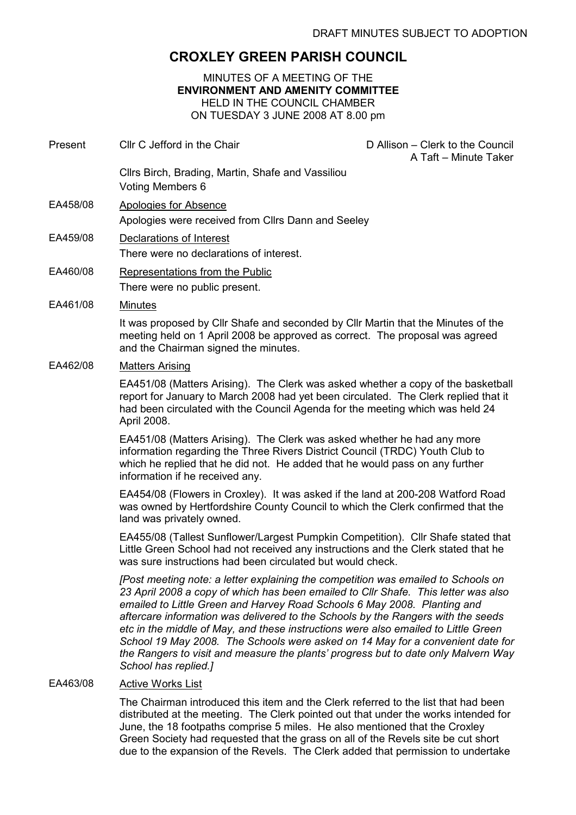# CROXLEY GREEN PARISH COUNCIL

## MINUTES OF A MEETING OF THE ENVIRONMENT AND AMENITY COMMITTEE HELD IN THE COUNCIL CHAMBER ON TUESDAY 3 JUNE 2008 AT 8.00 pm

| Present  | Cllr C Jefford in the Chair                                                                                                                                                                                                                                                                                                                                                                                                                                                                                                                                                                                                   | D Allison - Clerk to the Council<br>A Taft - Minute Taker |
|----------|-------------------------------------------------------------------------------------------------------------------------------------------------------------------------------------------------------------------------------------------------------------------------------------------------------------------------------------------------------------------------------------------------------------------------------------------------------------------------------------------------------------------------------------------------------------------------------------------------------------------------------|-----------------------------------------------------------|
|          | Cllrs Birch, Brading, Martin, Shafe and Vassiliou<br>Voting Members 6                                                                                                                                                                                                                                                                                                                                                                                                                                                                                                                                                         |                                                           |
| EA458/08 | <b>Apologies for Absence</b><br>Apologies were received from Cllrs Dann and Seeley                                                                                                                                                                                                                                                                                                                                                                                                                                                                                                                                            |                                                           |
| EA459/08 | Declarations of Interest<br>There were no declarations of interest.                                                                                                                                                                                                                                                                                                                                                                                                                                                                                                                                                           |                                                           |
| EA460/08 | Representations from the Public<br>There were no public present.                                                                                                                                                                                                                                                                                                                                                                                                                                                                                                                                                              |                                                           |
| EA461/08 | <b>Minutes</b>                                                                                                                                                                                                                                                                                                                                                                                                                                                                                                                                                                                                                |                                                           |
|          | It was proposed by CIIr Shafe and seconded by CIIr Martin that the Minutes of the<br>meeting held on 1 April 2008 be approved as correct. The proposal was agreed<br>and the Chairman signed the minutes.                                                                                                                                                                                                                                                                                                                                                                                                                     |                                                           |
| EA462/08 | <b>Matters Arising</b>                                                                                                                                                                                                                                                                                                                                                                                                                                                                                                                                                                                                        |                                                           |
|          | EA451/08 (Matters Arising). The Clerk was asked whether a copy of the basketball<br>report for January to March 2008 had yet been circulated. The Clerk replied that it<br>had been circulated with the Council Agenda for the meeting which was held 24<br>April 2008.                                                                                                                                                                                                                                                                                                                                                       |                                                           |
|          | EA451/08 (Matters Arising). The Clerk was asked whether he had any more<br>information regarding the Three Rivers District Council (TRDC) Youth Club to<br>which he replied that he did not. He added that he would pass on any further<br>information if he received any.                                                                                                                                                                                                                                                                                                                                                    |                                                           |
|          | EA454/08 (Flowers in Croxley). It was asked if the land at 200-208 Watford Road<br>was owned by Hertfordshire County Council to which the Clerk confirmed that the<br>land was privately owned.                                                                                                                                                                                                                                                                                                                                                                                                                               |                                                           |
|          | EA455/08 (Tallest Sunflower/Largest Pumpkin Competition). Cllr Shafe stated that<br>Little Green School had not received any instructions and the Clerk stated that he<br>was sure instructions had been circulated but would check.                                                                                                                                                                                                                                                                                                                                                                                          |                                                           |
|          | [Post meeting note: a letter explaining the competition was emailed to Schools on<br>23 April 2008 a copy of which has been emailed to Cllr Shafe. This letter was also<br>emailed to Little Green and Harvey Road Schools 6 May 2008. Planting and<br>aftercare information was delivered to the Schools by the Rangers with the seeds<br>etc in the middle of May, and these instructions were also emailed to Little Green<br>School 19 May 2008. The Schools were asked on 14 May for a convenient date for<br>the Rangers to visit and measure the plants' progress but to date only Malvern Way<br>School has replied.] |                                                           |
| EA463/08 | <b>Active Works List</b>                                                                                                                                                                                                                                                                                                                                                                                                                                                                                                                                                                                                      |                                                           |

The Chairman introduced this item and the Clerk referred to the list that had been distributed at the meeting. The Clerk pointed out that under the works intended for June, the 18 footpaths comprise 5 miles. He also mentioned that the Croxley Green Society had requested that the grass on all of the Revels site be cut short due to the expansion of the Revels. The Clerk added that permission to undertake